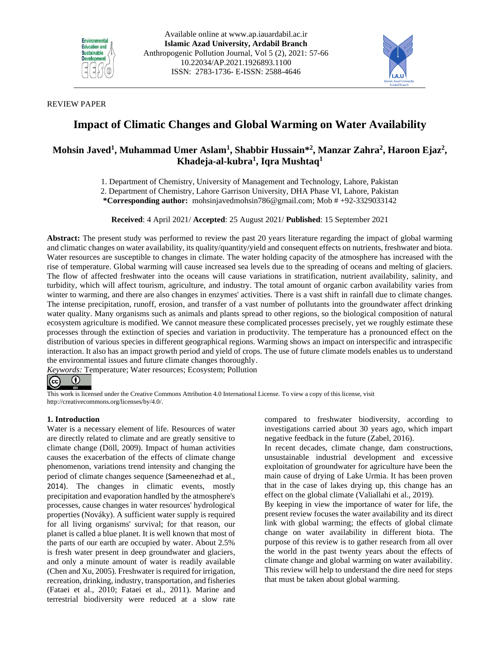



## REVIEW PAPER

# **Impact of Climatic Changes and Global Warming on Water Availability**

## **Mohsin Javed<sup>1</sup> , Muhammad Umer Aslam<sup>1</sup> , Shabbir Hussain\* 2 , Manzar Zahra<sup>2</sup> , Haroon Ejaz<sup>2</sup> , Khadeja-al-kubra<sup>1</sup> , Iqra Mushtaq<sup>1</sup>**

1. Department of Chemistry, University of Management and Technology, Lahore, Pakistan

2. Department of Chemistry, Lahore Garrison University, DHA Phase VI, Lahore, Pakistan

**\*Corresponding author:** [mohsinjavedmohsin786@gmail.com;](mailto:mohsinjavedmohsin786@gmail.com) Mob # +92-3329033142

**Received**: 4 April 2021/ **Accepted**: 25 August 2021/ **Published**: 15 September 2021

**Abstract:** The present study was performed to review the past 20 years literature regarding the impact of global warming and climatic changes on water availability, its quality/quantity/yield and consequent effects on nutrients, freshwater and biota. Water resources are susceptible to changes in climate. The water holding capacity of the atmosphere has increased with the rise of temperature. Global warming will cause increased sea levels due to the spreading of oceans and melting of glaciers. The flow of affected freshwater into the oceans will cause variations in stratification, nutrient availability, salinity, and turbidity, which will affect tourism, agriculture, and industry. The total amount of organic carbon availability varies from winter to warming, and there are also changes in enzymes' activities. There is a vast shift in rainfall due to climate changes. The intense precipitation, runoff, erosion, and transfer of a vast number of pollutants into the groundwater affect drinking water quality. Many organisms such as animals and plants spread to other regions, so the biological composition of natural ecosystem agriculture is modified. We cannot measure these complicated processes precisely, yet we roughly estimate these processes through the extinction of species and variation in productivity. The temperature has a pronounced effect on the distribution of various species in different geographical regions. Warming shows an impact on interspecific and intraspecific interaction. It also has an impact growth period and yield of crops. The use of future climate models enables us to understand the environmental issues and future climate changes thoroughly.

*Keywords:* Temperature; Water resources; Ecosystem; Pollution



This work is licensed under the Creative Commons Attribution 4.0 International License. To view a copy of this license, visit http://creativecommons.org/licenses/by/4.0/.

## **1. Introduction**

Water is a necessary element of life. Resources of water are directly related to climate and are greatly sensitive to climate change (Döll, 2009). Impact of human activities causes the exacerbation of the effects of climate change phenomenon, variations trend intensity and changing the period of climate changes sequence (Sameenezhad et al., 2014). The changes in climatic events, mostly precipitation and evaporation handled by the atmosphere's processes, cause changes in water resources' hydrological properties (Nováky). A sufficient water supply is required for all living organisms' survival; for that reason, our planet is called a blue planet. It is well known that most of the parts of our earth are occupied by water. About 2.5% is fresh water present in deep groundwater and glaciers, and only a minute amount of water is readily available (Chen and Xu, 2005). Freshwater is required for irrigation, recreation, drinking, industry, transportation, and fisheries (Fataei et al., 2010; Fataei et al., 2011). Marine and terrestrial biodiversity were reduced at a slow rate

compared to freshwater biodiversity, according to investigations carried about 30 years ago, which impart negative feedback in the future (Zabel, 2016).

In recent decades, climate change, dam constructions, unsustainable industrial development and excessive exploitation of groundwater for agriculture have been the main cause of drying of Lake Urmia. It has been proven that in the case of lakes drying up, this change has an effect on the global climate [\(Valiallahi](http://ap.iauardabil.ac.ir/?_action=article&au=704038&_au=Jalal++Valiallahi) et al., 2019).

By keeping in view the importance of water for life, the present review focuses the water availability and its direct link with global warming; the effects of global climate change on water availability in different biota. The purpose of this review is to gather research from all over the world in the past twenty years about the effects of climate change and global warming on water availability. This review will help to understand the dire need for steps that must be taken about global warming.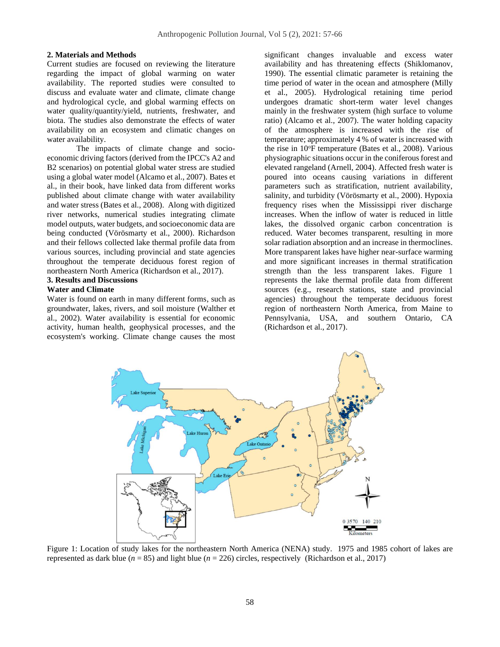#### **2. Materials and Methods**

Current studies are focused on reviewing the literature regarding the impact of global warming on water availability. The reported studies were consulted to discuss and evaluate water and climate, climate change and hydrological cycle, and global warming effects on water quality/quantity/yield, nutrients, freshwater, and biota. The studies also demonstrate the effects of water availability on an ecosystem and climatic changes on water availability.

The impacts of climate change and socioeconomic driving factors (derived from the IPCC's A2 and B2 scenarios) on potential global water stress are studied using a global water model (Alcamo et al., 2007). Bates et al., in their book, have linked data from different works published about climate change with water availability and water stress (Bates et al., 2008). Along with digitized river networks, numerical studies integrating climate model outputs, water budgets, and socioeconomic data are being conducted (Vörösmarty et al., 2000). Richardson and their fellows collected lake thermal profile data from various sources, including provincial and state agencies throughout the temperate deciduous forest region of northeastern North America (Richardson et al., 2017).

## **3. Results and Discussions**

## **Water and Climate**

Water is found on earth in many different forms, such as groundwater, lakes, rivers, and soil moisture (Walther et al., 2002). Water availability is essential for economic activity, human health, geophysical processes, and the ecosystem's working. Climate change causes the most

significant changes invaluable and excess water availability and has threatening effects (Shiklomanov, 1990). The essential climatic parameter is retaining the time period of water in the ocean and atmosphere (Milly et al., 2005). Hydrological retaining time period undergoes dramatic short-term water level changes mainly in the freshwater system (high surface to volume ratio) (Alcamo et al., 2007). The water holding capacity of the atmosphere is increased with the rise of temperature; approximately 4 % of water is increased with the rise in  $10^{\circ}$ F temperature (Bates et al., 2008). Various physiographic situations occur in the coniferous forest and elevated rangeland (Arnell, 2004). Affected fresh water is poured into oceans causing variations in different parameters such as stratification, nutrient availability, salinity, and turbidity (Vörösmarty et al., 2000). Hypoxia frequency rises when the Mississippi river discharge increases. When the inflow of water is reduced in little lakes, the dissolved organic carbon concentration is reduced. Water becomes transparent, resulting in more solar radiation absorption and an increase in thermoclines. More transparent lakes have higher near-surface warming and more significant increases in thermal stratification strength than the less transparent lakes. Figure 1 represents the lake thermal profile data from different sources (e.g., research stations, state and provincial agencies) throughout the temperate deciduous forest region of northeastern North America, from Maine to Pennsylvania, USA, and southern Ontario, CA (Richardson et al., 2017).



Figure 1: Location of study lakes for the northeastern North America (NENA) study. 1975 and 1985 cohort of lakes are represented as dark blue (*n* = 85) and light blue (*n* = 226) circles, respectively (Richardson et al., 2017)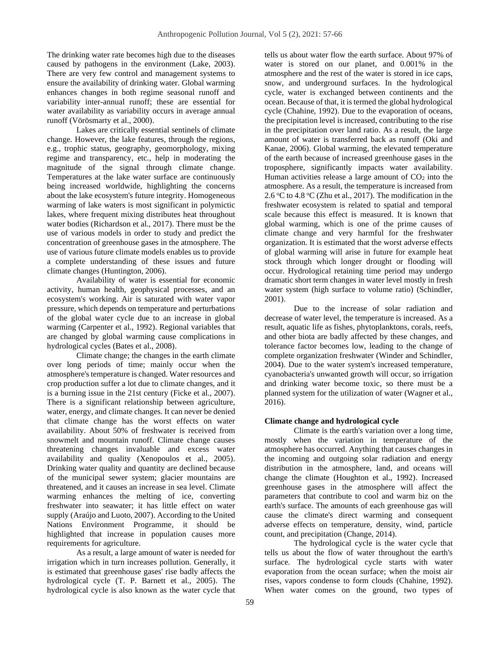The drinking water rate becomes high due to the diseases caused by pathogens in the environment (Lake, 2003). There are very few control and management systems to ensure the availability of drinking water. Global warming enhances changes in both regime seasonal runoff and variability inter-annual runoff; these are essential for water availability as variability occurs in average annual runoff (Vörösmarty et al., 2000).

Lakes are critically essential sentinels of climate change. However, the lake features, through the regions, e.g., trophic status, geography, geomorphology, mixing regime and transparency, etc., help in moderating the magnitude of the signal through climate change. Temperatures at the lake water surface are continuously being increased worldwide, highlighting the concerns about the lake ecosystem's future integrity. Homogeneous warming of lake waters is most significant in polymictic lakes, where frequent mixing distributes heat throughout water bodies (Richardson et al., 2017). There must be the use of various models in order to study and predict the concentration of greenhouse gases in the atmosphere. The use of various future climate models enables us to provide a complete understanding of these issues and future climate changes (Huntington, 2006).

Availability of water is essential for economic activity, human health, geophysical processes, and an ecosystem's working. Air is saturated with water vapor pressure, which depends on temperature and perturbations of the global water cycle due to an increase in global warming (Carpenter et al., 1992). Regional variables that are changed by global warming cause complications in hydrological cycles (Bates et al., 2008).

Climate change; the changes in the earth climate over long periods of time; mainly occur when the atmosphere's temperature is changed. Water resources and crop production suffer a lot due to climate changes, and it is a burning issue in the 21st century (Ficke et al., 2007). There is a significant relationship between agriculture, water, energy, and climate changes. It can never be denied that climate change has the worst effects on water availability. About 50% of freshwater is received from snowmelt and mountain runoff. Climate change causes threatening changes invaluable and excess water availability and quality (Xenopoulos et al., 2005). Drinking water quality and quantity are declined because of the municipal sewer system; glacier mountains are threatened, and it causes an increase in sea level. Climate warming enhances the melting of ice, converting freshwater into seawater; it has little effect on water supply (Araújo and Luoto, 2007). According to the United Nations Environment Programme, it should be highlighted that increase in population causes more requirements for agriculture.

As a result, a large amount of water is needed for irrigation which in turn increases pollution. Generally, it is estimated that greenhouse gases' rise badly affects the hydrological cycle (T. P. Barnett et al., 2005). The hydrological cycle is also known as the water cycle that

tells us about water flow the earth surface. About 97% of water is stored on our planet, and 0.001% in the atmosphere and the rest of the water is stored in ice caps, snow, and underground surfaces. In the hydrological cycle, water is exchanged between continents and the ocean. Because of that, it is termed the global hydrological cycle (Chahine, 1992). Due to the evaporation of oceans, the precipitation level is increased, contributing to the rise in the precipitation over land ratio. As a result, the large amount of water is transferred back as runoff (Oki and Kanae, 2006). Global warming, the elevated temperature of the earth because of increased greenhouse gases in the troposphere, significantly impacts water availability. Human activities release a large amount of  $CO<sub>2</sub>$  into the atmosphere. As a result, the temperature is increased from 2.6 °C to 4.8 °C (Zhu et al., 2017). The modification in the freshwater ecosystem is related to spatial and temporal scale because this effect is measured. It is known that global warming, which is one of the prime causes of climate change and very harmful for the freshwater organization. It is estimated that the worst adverse effects of global warming will arise in future for example heat stock through which longer drought or flooding will occur. Hydrological retaining time period may undergo dramatic short term changes in water level mostly in fresh water system (high surface to volume ratio) (Schindler, 2001).

Due to the increase of solar radiation and decrease of water level, the temperature is increased. As a result, aquatic life as fishes, phytoplanktons, corals, reefs, and other biota are badly affected by these changes, and tolerance factor becomes low, leading to the change of complete organization freshwater (Winder and Schindler, 2004). Due to the water system's increased temperature, cyanobacteria's unwanted growth will occur, so irrigation and drinking water become toxic, so there must be a planned system for the utilization of water (Wagner et al., 2016).

#### **Climate change and hydrological cycle**

Climate is the earth's variation over a long time, mostly when the variation in temperature of the atmosphere has occurred. Anything that causes changes in the incoming and outgoing solar radiation and energy distribution in the atmosphere, land, and oceans will change the climate (Houghton et al., 1992). Increased greenhouse gases in the atmosphere will affect the parameters that contribute to cool and warm biz on the earth's surface. The amounts of each greenhouse gas will cause the climate's direct warming and consequent adverse effects on temperature, density, wind, particle count, and precipitation (Change, 2014).

The hydrological cycle is the water cycle that tells us about the flow of water throughout the earth's surface. The hydrological cycle starts with water evaporation from the ocean surface; when the moist air rises, vapors condense to form clouds (Chahine, 1992). When water comes on the ground, two types of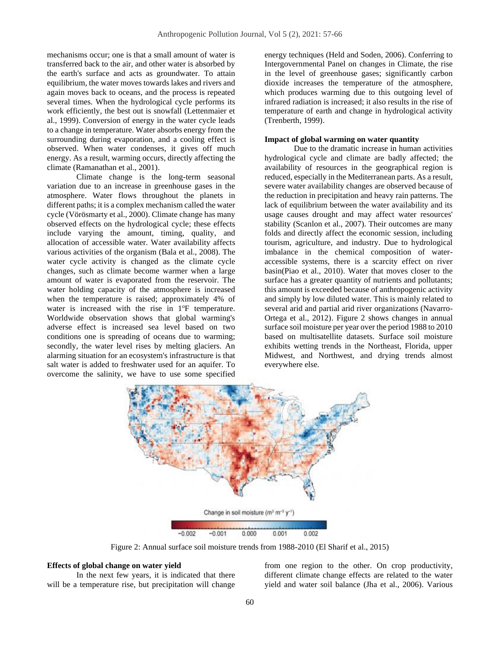mechanisms occur; one is that a small amount of water is transferred back to the air, and other water is absorbed by the earth's surface and acts as groundwater. To attain equilibrium, the water moves towards lakes and rivers and again moves back to oceans, and the process is repeated several times. When the hydrological cycle performs its work efficiently, the best out is snowfall (Lettenmaier et al., 1999). Conversion of energy in the water cycle leads to a change in temperature. Water absorbs energy from the surrounding during evaporation, and a cooling effect is observed. When water condenses, it gives off much energy. As a result, warming occurs, directly affecting the climate (Ramanathan et al., 2001).

Climate change is the long-term seasonal variation due to an increase in greenhouse gases in the atmosphere. Water flows throughout the planets in different paths; it is a complex mechanism called the water cycle (Vörösmarty et al., 2000). Climate change has many observed effects on the hydrological cycle; these effects include varying the amount, timing, quality, and allocation of accessible water. Water availability affects various activities of the organism (Bala et al., 2008). The water cycle activity is changed as the climate cycle changes, such as climate become warmer when a large amount of water is evaporated from the reservoir. The water holding capacity of the atmosphere is increased when the temperature is raised; approximately 4% of water is increased with the rise in  $1^{\circ}$ F temperature. Worldwide observation shows that global warming's adverse effect is increased sea level based on two conditions one is spreading of oceans due to warming; secondly, the water level rises by melting glaciers. An alarming situation for an ecosystem's infrastructure is that salt water is added to freshwater used for an aquifer. To overcome the salinity, we have to use some specified

energy techniques (Held and Soden, 2006). Conferring to Intergovernmental Panel on changes in Climate, the rise in the level of greenhouse gases; significantly carbon dioxide increases the temperature of the atmosphere, which produces warming due to this outgoing level of infrared radiation is increased; it also results in the rise of temperature of earth and change in hydrological activity (Trenberth, 1999).

#### **Impact of global warming on water quantity**

Due to the dramatic increase in human activities hydrological cycle and climate are badly affected; the availability of resources in the geographical region is reduced, especially in the Mediterranean parts. As a result, severe water availability changes are observed because of the reduction in precipitation and heavy rain patterns. The lack of equilibrium between the water availability and its usage causes drought and may affect water resources' stability (Scanlon et al., 2007). Their outcomes are many folds and directly affect the economic session, including tourism, agriculture, and industry. Due to hydrological imbalance in the chemical composition of wateraccessible systems, there is a scarcity effect on river basin(Piao et al., 2010). Water that moves closer to the surface has a greater quantity of nutrients and pollutants; this amount is exceeded because of anthropogenic activity and simply by low diluted water. This is mainly related to several arid and partial arid river organizations (Navarro-Ortega et al., 2012). Figure 2 shows changes in annual surface soil moisture per year over the period 1988 to 2010 based on multisatellite datasets. Surface soil moisture exhibits wetting trends in the Northeast, Florida, upper Midwest, and Northwest, and drying trends almost everywhere else.



Figure 2: Annual surface soil moisture trends from 1988-2010 (El Sharif et al., 2015)

#### **Effects of global change on water yield**

In the next few years, it is indicated that there will be a temperature rise, but precipitation will change from one region to the other. On crop productivity, different climate change effects are related to the water yield and water soil balance (Jha et al., 2006). Various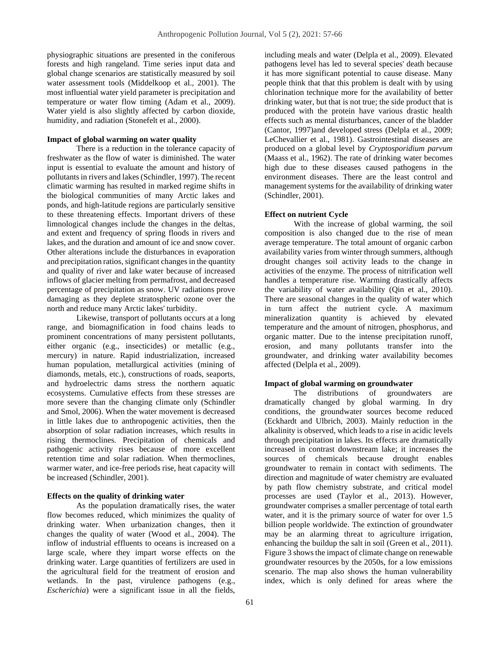physiographic situations are presented in the coniferous forests and high rangeland. Time series input data and global change scenarios are statistically measured by soil water assessment tools (Middelkoop et al., 2001). The most influential water yield parameter is precipitation and temperature or water flow timing (Adam et al., 2009). Water yield is also slightly affected by carbon dioxide, humidity, and radiation (Stonefelt et al., 2000).

#### **Impact of global warming on water quality**

There is a reduction in the tolerance capacity of freshwater as the flow of water is diminished. The water input is essential to evaluate the amount and history of pollutants in rivers and lakes(Schindler, 1997). The recent climatic warming has resulted in marked regime shifts in the biological communities of many Arctic lakes and ponds, and high-latitude regions are particularly sensitive to these threatening effects. Important drivers of these limnological changes include the changes in the deltas, and extent and frequency of spring floods in rivers and lakes, and the duration and amount of ice and snow cover. Other alterations include the disturbances in evaporation and precipitation ratios, significant changes in the quantity and quality of river and lake water because of increased inflows of glacier melting from permafrost, and decreased percentage of precipitation as snow. UV radiations prove damaging as they deplete stratospheric ozone over the north and reduce many Arctic lakes' turbidity.

Likewise, transport of pollutants occurs at a long range, and biomagnification in food chains leads to prominent concentrations of many persistent pollutants, either organic (e.g., insecticides) or metallic (e.g., mercury) in nature. Rapid industrialization, increased human population, metallurgical activities (mining of diamonds, metals, etc.), constructions of roads, seaports, and hydroelectric dams stress the northern aquatic ecosystems. Cumulative effects from these stresses are more severe than the changing climate only (Schindler and Smol, 2006). When the water movement is decreased in little lakes due to anthropogenic activities, then the absorption of solar radiation increases, which results in rising thermoclines. Precipitation of chemicals and pathogenic activity rises because of more excellent retention time and solar radiation. When thermoclines, warmer water, and ice-free periods rise, heat capacity will be increased (Schindler, 2001).

#### **Effects on the quality of drinking water**

As the population dramatically rises, the water flow becomes reduced, which minimizes the quality of drinking water. When urbanization changes, then it changes the quality of water (Wood et al., 2004). The inflow of industrial effluents to oceans is increased on a large scale, where they impart worse effects on the drinking water. Large quantities of fertilizers are used in the agricultural field for the treatment of erosion and wetlands. In the past, virulence pathogens (e.g., *Escherichia*) were a significant issue in all the fields,

including meals and water (Delpla et al., 2009). Elevated pathogens level has led to several species' death because it has more significant potential to cause disease. Many people think that that this problem is dealt with by using chlorination technique more for the availability of better drinking water, but that is not true; the side product that is produced with the protein have various drastic health effects such as mental disturbances, cancer of the bladder (Cantor, 1997)and developed stress (Delpla et al., 2009; LeChevallier et al., 1981). Gastrointestinal diseases are produced on a global level by *Cryptosporidium parvum* (Maass et al., 1962). The rate of drinking water becomes high due to these diseases caused pathogens in the environment diseases. There are the least control and management systems for the availability of drinking water (Schindler, 2001).

#### **Effect on nutrient Cycle**

With the increase of global warming, the soil composition is also changed due to the rise of mean average temperature. The total amount of organic carbon availability varies from winter through summers, although drought changes soil activity leads to the change in activities of the enzyme. The process of nitrification well handles a temperature rise. Warming drastically affects the variability of water availability (Qin et al., 2010). There are seasonal changes in the quality of water which in turn affect the nutrient cycle. A maximum mineralization quantity is achieved by elevated temperature and the amount of nitrogen, phosphorus, and organic matter. Due to the intense precipitation runoff, erosion, and many pollutants transfer into the groundwater, and drinking water availability becomes affected (Delpla et al., 2009).

#### **Impact of global warming on groundwater**

The distributions of groundwaters are dramatically changed by global warming. In dry conditions, the groundwater sources become reduced (Eckhardt and Ulbrich, 2003). Mainly reduction in the alkalinity is observed, which leads to a rise in acidic levels through precipitation in lakes. Its effects are dramatically increased in contrast downstream lake; it increases the sources of chemicals because drought enables groundwater to remain in contact with sediments. The direction and magnitude of water chemistry are evaluated by path flow chemistry substrate, and critical model processes are used (Taylor et al., 2013). However, groundwater comprises a smaller percentage of total earth water, and it is the primary source of water for over 1.5 billion people worldwide. The extinction of groundwater may be an alarming threat to agriculture irrigation, enhancing the buildup the salt in soil (Green et al., 2011). Figure 3 shows the impact of climate change on renewable groundwater resources by the 2050s, for a low emissions scenario. The map also shows the human vulnerability index, which is only defined for areas where the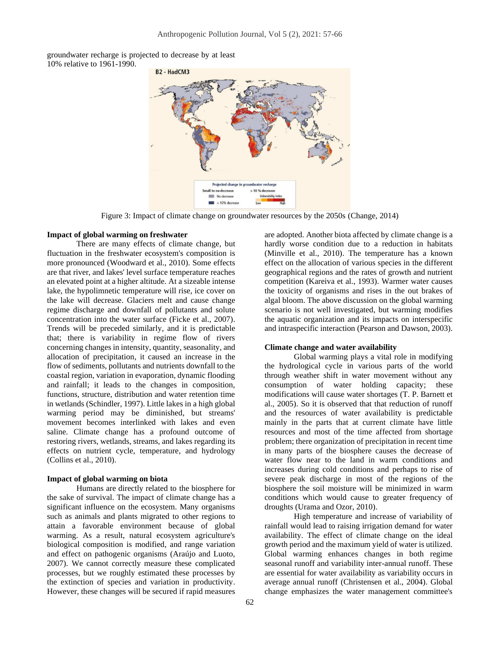groundwater recharge is projected to decrease by at least 10% relative to 1961-1990.



Figure 3: Impact of climate change on groundwater resources by the 2050s (Change, 2014)

## **Impact of global warming on freshwater**

There are many effects of climate change, but fluctuation in the freshwater ecosystem's composition is more pronounced (Woodward et al., 2010). Some effects are that river, and lakes' level surface temperature reaches an elevated point at a higher altitude. At a sizeable intense lake, the hypolimnetic temperature will rise, ice cover on the lake will decrease. Glaciers melt and cause change regime discharge and downfall of pollutants and solute concentration into the water surface (Ficke et al., 2007). Trends will be preceded similarly, and it is predictable that; there is variability in regime flow of rivers concerning changes in intensity, quantity, seasonality, and allocation of precipitation, it caused an increase in the flow of sediments, pollutants and nutrients downfall to the coastal region, variation in evaporation, dynamic flooding and rainfall; it leads to the changes in composition, functions, structure, distribution and water retention time in wetlands (Schindler, 1997). Little lakes in a high global warming period may be diminished, but streams' movement becomes interlinked with lakes and even saline. Climate change has a profound outcome of restoring rivers, wetlands, streams, and lakes regarding its effects on nutrient cycle, temperature, and hydrology (Collins et al., 2010).

#### **Impact of global warming on biota**

Humans are directly related to the biosphere for the sake of survival. The impact of climate change has a significant influence on the ecosystem. Many organisms such as animals and plants migrated to other regions to attain a favorable environment because of global warming. As a result, natural ecosystem agriculture's biological composition is modified, and range variation and effect on pathogenic organisms (Araújo and Luoto, 2007). We cannot correctly measure these complicated processes, but we roughly estimated these processes by the extinction of species and variation in productivity. However, these changes will be secured if rapid measures

are adopted. Another biota affected by climate change is a hardly worse condition due to a reduction in habitats (Minville et al., 2010). The temperature has a known effect on the allocation of various species in the different geographical regions and the rates of growth and nutrient competition (Kareiva et al., 1993). Warmer water causes the toxicity of organisms and rises in the out brakes of algal bloom. The above discussion on the global warming scenario is not well investigated, but warming modifies the aquatic organization and its impacts on interspecific and intraspecific interaction (Pearson and Dawson, 2003).

#### **Climate change and water availability**

Global warming plays a vital role in modifying the hydrological cycle in various parts of the world through weather shift in water movement without any consumption of water holding capacity; these modifications will cause water shortages (T. P. Barnett et al., 2005). So it is observed that that reduction of runoff and the resources of water availability is predictable mainly in the parts that at current climate have little resources and most of the time affected from shortage problem; there organization of precipitation in recent time in many parts of the biosphere causes the decrease of water flow near to the land in warm conditions and increases during cold conditions and perhaps to rise of severe peak discharge in most of the regions of the biosphere the soil moisture will be minimized in warm conditions which would cause to greater frequency of droughts (Urama and Ozor, 2010).

High temperature and increase of variability of rainfall would lead to raising irrigation demand for water availability. The effect of climate change on the ideal growth period and the maximum yield of water is utilized. Global warming enhances changes in both regime seasonal runoff and variability inter-annual runoff. These are essential for water availability as variability occurs in average annual runoff (Christensen et al., 2004). Global change emphasizes the water management committee's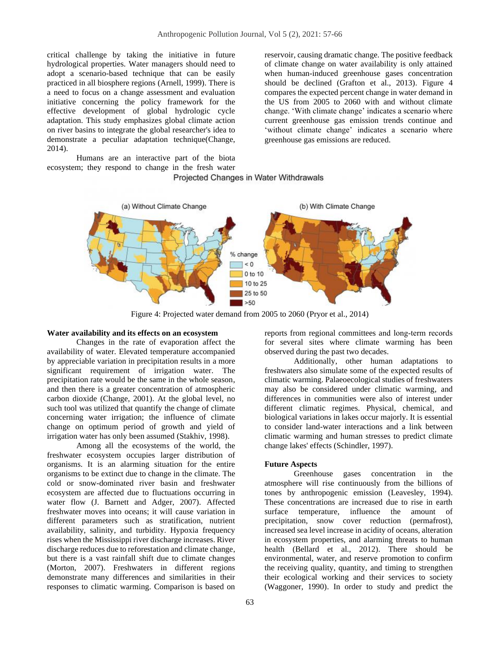critical challenge by taking the initiative in future hydrological properties. Water managers should need to adopt a scenario-based technique that can be easily practiced in all biosphere regions (Arnell, 1999). There is a need to focus on a change assessment and evaluation initiative concerning the policy framework for the effective development of global hydrologic cycle adaptation. This study emphasizes global climate action on river basins to integrate the global researcher's idea to demonstrate a peculiar adaptation technique(Change, 2014).

Humans are an interactive part of the biota ecosystem; they respond to change in the fresh water

of climate change on water availability is only attained when human-induced greenhouse gases concentration should be declined (Grafton et al., 2013). Figure 4 compares the expected percent change in water demand in the US from 2005 to 2060 with and without climate change. 'With climate change' indicates a scenario where current greenhouse gas emission trends continue and 'without climate change' indicates a scenario where greenhouse gas emissions are reduced.

reservoir, causing dramatic change. The positive feedback

## Projected Changes in Water Withdrawals



Figure 4: Projected water demand from 2005 to 2060 (Pryor et al., 2014)

#### **Water availability and its effects on an ecosystem**

Changes in the rate of evaporation affect the availability of water. Elevated temperature accompanied by appreciable variation in precipitation results in a more significant requirement of irrigation water. The precipitation rate would be the same in the whole season, and then there is a greater concentration of atmospheric carbon dioxide (Change, 2001). At the global level, no such tool was utilized that quantify the change of climate concerning water irrigation; the influence of climate change on optimum period of growth and yield of irrigation water has only been assumed (Stakhiv, 1998).

Among all the ecosystems of the world, the freshwater ecosystem occupies larger distribution of organisms. It is an alarming situation for the entire organisms to be extinct due to change in the climate. The cold or snow-dominated river basin and freshwater ecosystem are affected due to fluctuations occurring in water flow (J. Barnett and Adger, 2007). Affected freshwater moves into oceans; it will cause variation in different parameters such as stratification, nutrient availability, salinity, and turbidity. Hypoxia frequency rises when the Mississippi river discharge increases. River discharge reduces due to reforestation and climate change, but there is a vast rainfall shift due to climate changes (Morton, 2007). Freshwaters in different regions demonstrate many differences and similarities in their responses to climatic warming. Comparison is based on

reports from regional committees and long‐term records for several sites where climate warming has been observed during the past two decades.

Additionally, other human adaptations to freshwaters also simulate some of the expected results of climatic warming. Palaeoecological studies of freshwaters may also be considered under climatic warming, and differences in communities were also of interest under different climatic regimes. Physical, chemical, and biological variations in lakes occur majorly. It is essential to consider land-water interactions and a link between climatic warming and human stresses to predict climate change lakes' effects (Schindler, 1997).

#### **Future Aspects**

Greenhouse gases concentration in the atmosphere will rise continuously from the billions of tones by anthropogenic emission (Leavesley, 1994). These concentrations are increased due to rise in earth surface temperature, influence the amount of precipitation, snow cover reduction (permafrost), increased sea level increase in acidity of oceans, alteration in ecosystem properties, and alarming threats to human health (Bellard et al., 2012). There should be environmental, water, and reserve promotion to confirm the receiving quality, quantity, and timing to strengthen their ecological working and their services to society (Waggoner, 1990). In order to study and predict the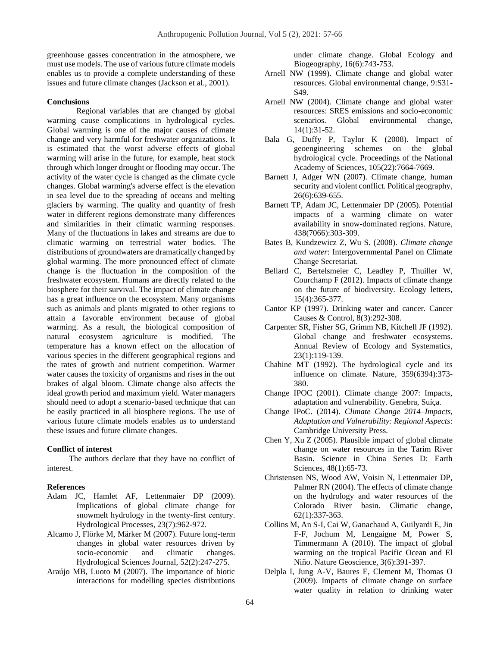greenhouse gasses concentration in the atmosphere, we must use models. The use of various future climate models enables us to provide a complete understanding of these issues and future climate changes (Jackson et al., 2001).

#### **Conclusions**

Regional variables that are changed by global warming cause complications in hydrological cycles. Global warming is one of the major causes of climate change and very harmful for freshwater organizations. It is estimated that the worst adverse effects of global warming will arise in the future, for example, heat stock through which longer drought or flooding may occur. The activity of the water cycle is changed as the climate cycle changes. Global warming's adverse effect is the elevation in sea level due to the spreading of oceans and melting glaciers by warming. The quality and quantity of fresh water in different regions demonstrate many differences and similarities in their climatic warming responses. Many of the fluctuations in lakes and streams are due to climatic warming on terrestrial water bodies. The distributions of groundwaters are dramatically changed by global warming. The more pronounced effect of climate change is the fluctuation in the composition of the freshwater ecosystem. Humans are directly related to the biosphere for their survival. The impact of climate change has a great influence on the ecosystem. Many organisms such as animals and plants migrated to other regions to attain a favorable environment because of global warming. As a result, the biological composition of natural ecosystem agriculture is modified. The temperature has a known effect on the allocation of various species in the different geographical regions and the rates of growth and nutrient competition. Warmer water causes the toxicity of organisms and rises in the out brakes of algal bloom. Climate change also affects the ideal growth period and maximum yield. Water managers should need to adopt a scenario-based technique that can be easily practiced in all biosphere regions. The use of various future climate models enables us to understand these issues and future climate changes.

#### **Conflict of interest**

The authors declare that they have no conflict of interest.

#### **References**

- Adam JC, Hamlet AF, Lettenmaier DP (2009). Implications of global climate change for snowmelt hydrology in the twenty‐first century. Hydrological Processes*,* 23(7):962-972.
- Alcamo J, Flörke M, Märker M (2007). Future long-term changes in global water resources driven by socio-economic and climatic changes. Hydrological Sciences Journal*,* 52(2):247-275.
- Araújo MB, Luoto M (2007). The importance of biotic interactions for modelling species distributions

under climate change. Global Ecology and Biogeography*,* 16(6):743-753.

- Arnell NW (1999). Climate change and global water resources. Global environmental change*,* 9:S31- S49.
- Arnell NW (2004). Climate change and global water resources: SRES emissions and socio-economic scenarios. Global environmental change*,*  14(1):31-52.
- Bala G, Duffy P, Taylor K (2008). Impact of geoengineering schemes on the global hydrological cycle. Proceedings of the National Academy of Sciences*,* 105(22):7664-7669.
- Barnett J, Adger WN (2007). Climate change, human security and violent conflict. Political geography*,*  26(6):639-655.
- Barnett TP, Adam JC, Lettenmaier DP (2005). Potential impacts of a warming climate on water availability in snow-dominated regions. Nature*,*  438(7066):303-309.
- Bates B, Kundzewicz Z, Wu S. (2008). *Climate change and water*: Intergovernmental Panel on Climate Change Secretariat.
- Bellard C, Bertelsmeier C, Leadley P, Thuiller W, Courchamp F (2012). Impacts of climate change on the future of biodiversity. Ecology letters*,*  15(4):365-377.
- Cantor KP (1997). Drinking water and cancer. Cancer Causes & Control*,* 8(3):292-308.
- Carpenter SR, Fisher SG, Grimm NB, Kitchell JF (1992). Global change and freshwater ecosystems. Annual Review of Ecology and Systematics*,*  23(1):119-139.
- Chahine MT (1992). The hydrological cycle and its influence on climate. Nature*,* 359(6394):373- 380.
- Change IPOC (2001). Climate change 2007: Impacts, adaptation and vulnerability. Genebra, Suíça.
- Change IPoC. (2014). *Climate Change 2014–Impacts, Adaptation and Vulnerability: Regional Aspects*: Cambridge University Press.
- Chen Y, Xu Z (2005). Plausible impact of global climate change on water resources in the Tarim River Basin. Science in China Series D: Earth Sciences*,* 48(1):65-73.
- Christensen NS, Wood AW, Voisin N, Lettenmaier DP, Palmer RN (2004). The effects of climate change on the hydrology and water resources of the Colorado River basin. Climatic change*,*  62(1):337-363.
- Collins M, An S-I, Cai W, Ganachaud A, Guilyardi E, Jin F-F, Jochum M, Lengaigne M, Power S, Timmermann A (2010). The impact of global warming on the tropical Pacific Ocean and El Niño. Nature Geoscience*,* 3(6):391-397.
- Delpla I, Jung A-V, Baures E, Clement M, Thomas O (2009). Impacts of climate change on surface water quality in relation to drinking water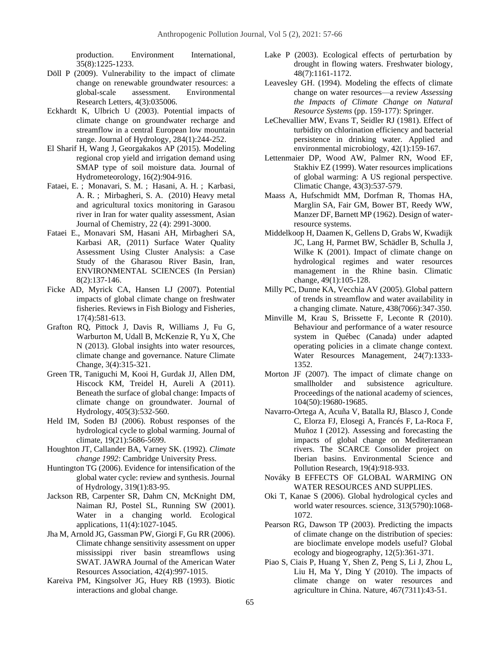production. Environment International*,*  35(8):1225-1233.

- Döll P (2009). Vulnerability to the impact of climate change on renewable groundwater resources: a global-scale assessment. Environmental Research Letters*,* 4(3):035006.
- Eckhardt K, Ulbrich U (2003). Potential impacts of climate change on groundwater recharge and streamflow in a central European low mountain range. Journal of Hydrology*,* 284(1):244-252.
- El Sharif H, Wang J, Georgakakos AP (2015). Modeling regional crop yield and irrigation demand using SMAP type of soil moisture data. Journal of Hydrometeorology*,* 16(2):904-916.
- [Fataei, E.](https://www.cabdirect.org/cabdirect/search/?q=au%3a%22Fataei%2c+E.%22) ; [Monavari, S. M.](https://www.cabdirect.org/cabdirect/search/?q=au%3a%22Monavari%2c+S.+M.%22) ; [Hasani, A. H.](https://www.cabdirect.org/cabdirect/search/?q=au%3a%22Hasani%2c+A.+H.%22) ; [Karbasi,](https://www.cabdirect.org/cabdirect/search/?q=au%3a%22Karbasi%2c+A.+R.%22)  [A. R.](https://www.cabdirect.org/cabdirect/search/?q=au%3a%22Karbasi%2c+A.+R.%22) ; [Mirbagheri, S. A.](https://www.cabdirect.org/cabdirect/search/?q=au%3a%22Mirbagheri%2c+S.+A.%22) (2010) Heavy metal and agricultural toxics monitoring in Garasou river in Iran for water quality assessment, [Asian](https://www.cabdirect.org/cabdirect/search/?q=do%3a%22Asian+Journal+of+Chemistry%22)  [Journal of Chemistry,](https://www.cabdirect.org/cabdirect/search/?q=do%3a%22Asian+Journal+of+Chemistry%22) 22 (4): 2991-3000.
- Fataei E., Monavari SM, Hasani AH, Mirbagheri SA, Karbasi AR, (2011) Surface Water Quality Assessment Using Cluster Analysis: a Case Study of the Gharasou River Basin, Iran, ENVIRONMENTAL SCIENCES (In Persian) 8(2):137-146.
- Ficke AD, Myrick CA, Hansen LJ (2007). Potential impacts of global climate change on freshwater fisheries. Reviews in Fish Biology and Fisheries*,*  17(4):581-613.
- Grafton RQ, Pittock J, Davis R, Williams J, Fu G, Warburton M, Udall B, McKenzie R, Yu X, Che N (2013). Global insights into water resources, climate change and governance. Nature Climate Change*,* 3(4):315-321.
- Green TR, Taniguchi M, Kooi H, Gurdak JJ, Allen DM, Hiscock KM, Treidel H, Aureli A (2011). Beneath the surface of global change: Impacts of climate change on groundwater. Journal of Hydrology*,* 405(3):532-560.
- Held IM, Soden BJ (2006). Robust responses of the hydrological cycle to global warming. Journal of climate*,* 19(21):5686-5699.
- Houghton JT, Callander BA, Varney SK. (1992). *Climate change 1992*: Cambridge University Press.
- Huntington TG (2006). Evidence for intensification of the global water cycle: review and synthesis. Journal of Hydrology*,* 319(1):83-95.
- Jackson RB, Carpenter SR, Dahm CN, McKnight DM, Naiman RJ, Postel SL, Running SW (2001). Water in a changing world. Ecological applications*,* 11(4):1027-1045.
- Jha M, Arnold JG, Gassman PW, Giorgi F, Gu RR (2006). Climate chhange sensitivity assessment on upper mississippi river basin streamflows using SWAT. JAWRA Journal of the American Water Resources Association*,* 42(4):997-1015.
- Kareiva PM, Kingsolver JG, Huey RB (1993). Biotic interactions and global change.
- Lake P (2003). Ecological effects of perturbation by drought in flowing waters. Freshwater biology*,*  48(7):1161-1172.
- Leavesley GH. (1994). Modeling the effects of climate change on water resources—a review *Assessing the Impacts of Climate Change on Natural Resource Systems* (pp. 159-177): Springer.
- LeChevallier MW, Evans T, Seidler RJ (1981). Effect of turbidity on chlorination efficiency and bacterial persistence in drinking water. Applied and environmental microbiology*,* 42(1):159-167.
- Lettenmaier DP, Wood AW, Palmer RN, Wood EF, Stakhiv EZ (1999). Water resources implications of global warming: A US regional perspective. Climatic Change*,* 43(3):537-579.
- Maass A, Hufschmidt MM, Dorfman R, Thomas HA, Marglin SA, Fair GM, Bower BT, Reedy WW, Manzer DF, Barnett MP (1962). Design of waterresource systems.
- Middelkoop H, Daamen K, Gellens D, Grabs W, Kwadijk JC, Lang H, Parmet BW, Schädler B, Schulla J, Wilke K (2001). Impact of climate change on hydrological regimes and water resources management in the Rhine basin. Climatic change*,* 49(1):105-128.
- Milly PC, Dunne KA, Vecchia AV (2005). Global pattern of trends in streamflow and water availability in a changing climate. Nature*,* 438(7066):347-350.
- Minville M, Krau S, Brissette F, Leconte R (2010). Behaviour and performance of a water resource system in Québec (Canada) under adapted operating policies in a climate change context. Water Resources Management*,* 24(7):1333- 1352.
- Morton JF (2007). The impact of climate change on smallholder and subsistence agriculture. Proceedings of the national academy of sciences*,*  104(50):19680-19685.
- Navarro-Ortega A, Acuña V, Batalla RJ, Blasco J, Conde C, Elorza FJ, Elosegi A, Francés F, La-Roca F, Muñoz I (2012). Assessing and forecasting the impacts of global change on Mediterranean rivers. The SCARCE Consolider project on Iberian basins. Environmental Science and Pollution Research*,* 19(4):918-933.
- Nováky B EFFECTS OF GLOBAL WARMING ON WATER RESOURCES AND SUPPLIES.
- Oki T, Kanae S (2006). Global hydrological cycles and world water resources. science*,* 313(5790):1068- 1072.
- Pearson RG, Dawson TP (2003). Predicting the impacts of climate change on the distribution of species: are bioclimate envelope models useful? Global ecology and biogeography*,* 12(5):361-371.
- Piao S, Ciais P, Huang Y, Shen Z, Peng S, Li J, Zhou L, Liu H, Ma Y, Ding Y (2010). The impacts of climate change on water resources and agriculture in China. Nature*,* 467(7311):43-51.